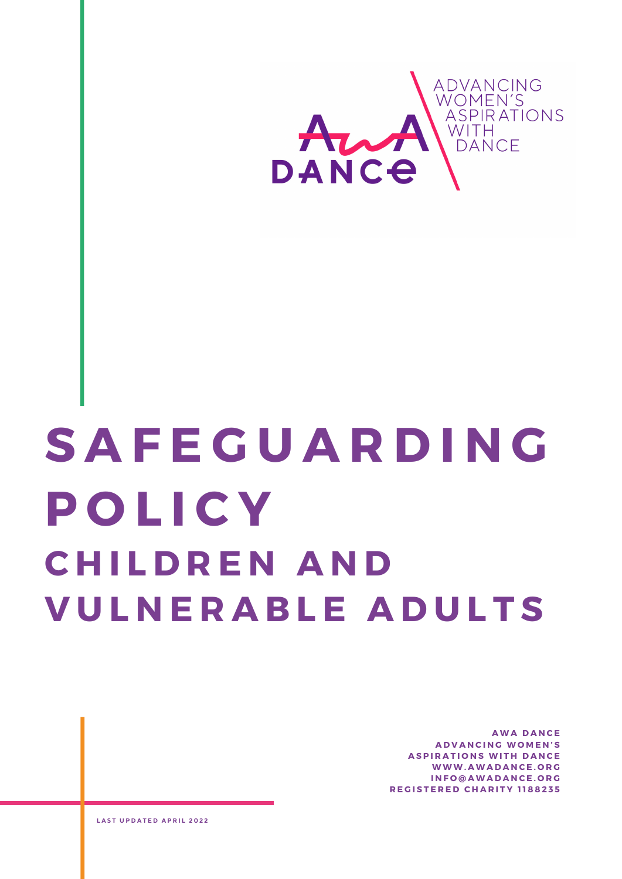

# **S A F E G U A R D I N G P O L I C Y C H I L D R E N A N D V U L N E R A B L E A D U L T S**

**A W A D A N C E A D V A N C I N G W O M E N ' S ASPIRATIONS WITH DANCE W W W . A W A D A N C E . O R G I N F O @ A W A D A N C E . O R G R E G I S T E R E D C H A R I T Y 1 1 8 8 2 3 5**

**L A S T U P D A T E D A P R I L 2 0 2 2**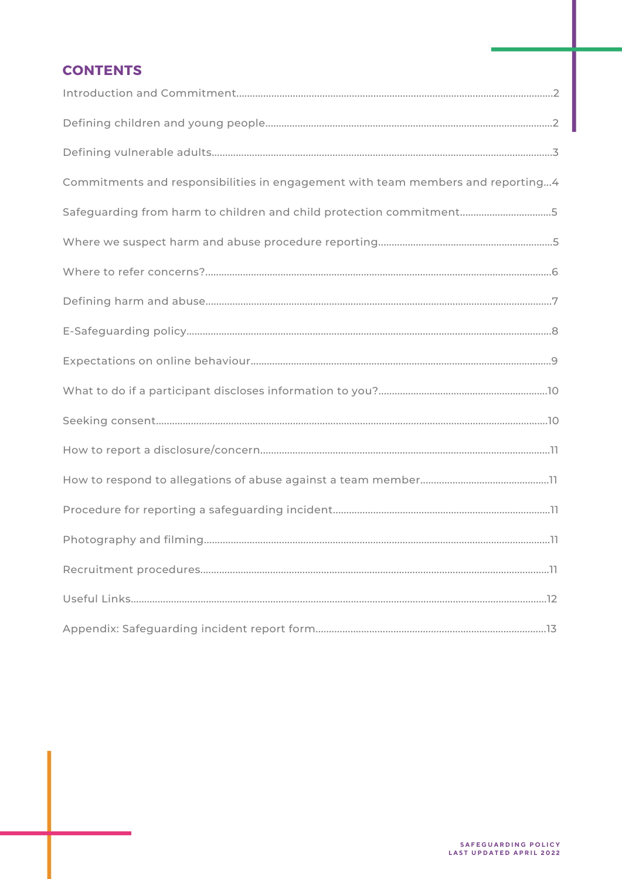# **CONTENTS**

| Commitments and responsibilities in engagement with team members and reporting4 |
|---------------------------------------------------------------------------------|
| Safeguarding from harm to children and child protection commitment5             |
|                                                                                 |
|                                                                                 |
|                                                                                 |
|                                                                                 |
|                                                                                 |
|                                                                                 |
|                                                                                 |
|                                                                                 |
|                                                                                 |
|                                                                                 |
|                                                                                 |
|                                                                                 |
|                                                                                 |
|                                                                                 |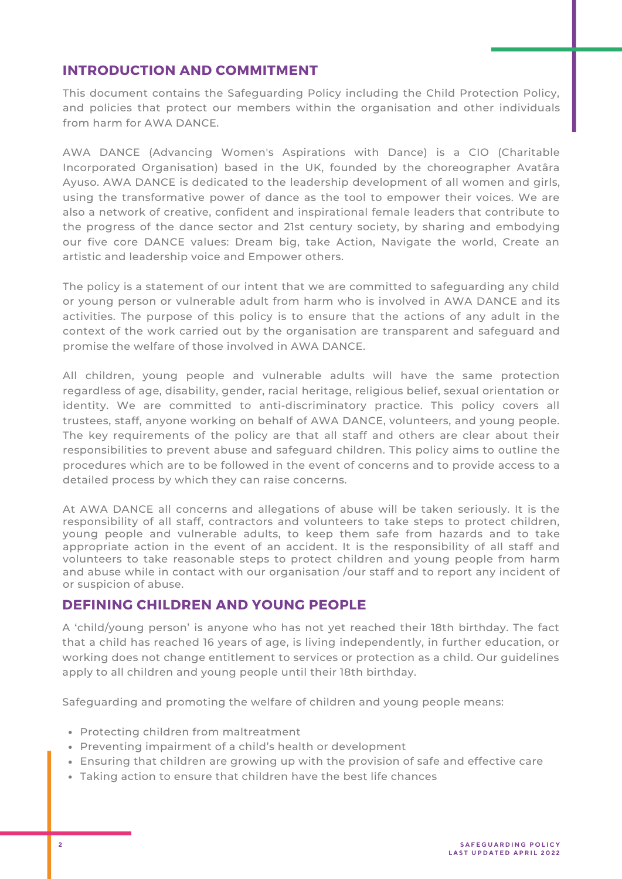# **INTRODUCTION AND COMMITMENT**

This document contains the Safeguarding Policy including the Child Protection Policy, and policies that protect our members within the organisation and other individuals from harm for AWA DANCE.

AWA DANCE (Advancing Women's Aspirations with Dance) is a CIO (Charitable Incorporated Organisation) based in the UK, founded by the choreographer Avatâra Ayuso. AWA DANCE is dedicated to the leadership development of all women and girls, using the transformative power of dance as the tool to empower their voices. We are also a network of creative, confident and inspirational female leaders that contribute to the progress of the dance sector and 21st century society, by sharing and embodying our five core DANCE values: Dream big, take Action, Navigate the world, Create an artistic and leadership voice and Empower others.

The policy is a statement of our intent that we are committed to safeguarding any child or young person or vulnerable adult from harm who is involved in AWA DANCE and its activities. The purpose of this policy is to ensure that the actions of any adult in the context of the work carried out by the organisation are transparent and safeguard and promise the welfare of those involved in AWA DANCE.

All children, young people and vulnerable adults will have the same protection regardless of age, disability, gender, racial heritage, religious belief, sexual orientation or identity. We are committed to anti-discriminatory practice. This policy covers all trustees, staff, anyone working on behalf of AWA DANCE, volunteers, and young people. The key requirements of the policy are that all staff and others are clear about their responsibilities to prevent abuse and safeguard children. This policy aims to outline the procedures which are to be followed in the event of concerns and to provide access to a detailed process by which they can raise concerns.

At AWA DANCE all concerns and allegations of abuse will be taken seriously. It is the responsibility of all staff, contractors and volunteers to take steps to protect children, young people and vulnerable adults, to keep them safe from hazards and to take appropriate action in the event of an accident. It is the responsibility of all staff and volunteers to take reasonable steps to protect children and young people from harm and abuse while in contact with our organisation /our staff and to report any incident of or suspicion of abuse.

# **DEFINING CHILDREN AND YOUNG PEOPLE**

A 'child/young person' is anyone who has not yet reached their 18th birthday. The fact that a child has reached 16 years of age, is living independently, in further education, or working does not change entitlement to services or protection as a child. Our guidelines apply to all children and young people until their 18th birthday.

Safeguarding and promoting the welfare of children and young people means:

- Protecting children from maltreatment
- Preventing impairment of a child's health or development
- Ensuring that children are growing up with the provision of safe and effective care
- Taking action to ensure that children have the best life chances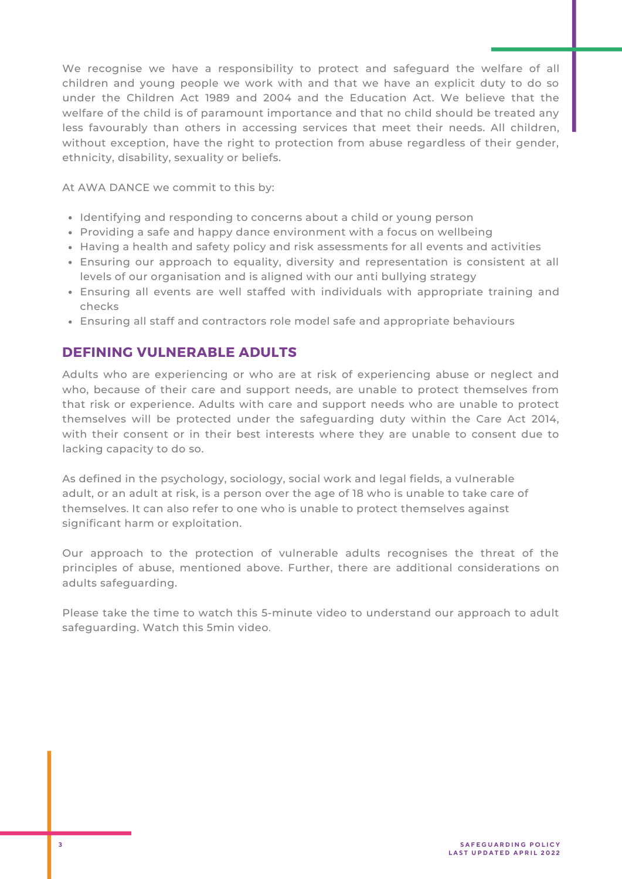We recognise we have a responsibility to protect and safeguard the welfare of all children and young people we work with and that we have an explicit duty to do so under the Children Act 1989 and 2004 and the Education Act. We believe that the welfare of the child is of paramount importance and that no child should be treated any less favourably than others in accessing services that meet their needs. All children, without exception, have the right to protection from abuse regardless of their gender, ethnicity, disability, sexuality or beliefs.

At AWA DANCE we commit to this by:

- Identifying and responding to concerns about a child or young person
- Providing a safe and happy dance environment with a focus on wellbeing
- Having a health and safety policy and risk assessments for all events and activities
- Ensuring our approach to equality, diversity and representation is consistent at all levels of our organisation and is aligned with our anti bullying strategy
- Ensuring all events are well staffed with individuals with appropriate training and checks
- Ensuring all staff and contractors role model safe and appropriate behaviours

# **DEFINING VULNERABLE ADULTS**

Adults who are experiencing or who are at risk of experiencing abuse or neglect and who, because of their care and support needs, are unable to protect themselves from that risk or experience. Adults with care and support needs who are unable to protect themselves will be protected under the safeguarding duty within the Care Act 2014, with their consent or in their best interests where they are unable to consent due to lacking capacity to do so.

As defined in the psychology, sociology, social work and legal fields, a vulnerable adult, or an adult at risk, is a person over the age of 18 who is unable to take care of themselves. It can also refer to one who is unable to protect themselves against significant harm or exploitation.

Our approach to the protection of vulnerable adults recognises the threat of the principles of abuse, mentioned above. Further, there are additional considerations on adults safeguarding.

Please take the time to watch this 5-minute video to understand our approach to adult safeguarding. [Watch](https://www.youtube.com/watch?v=3i5ejonS7mg) this 5min video.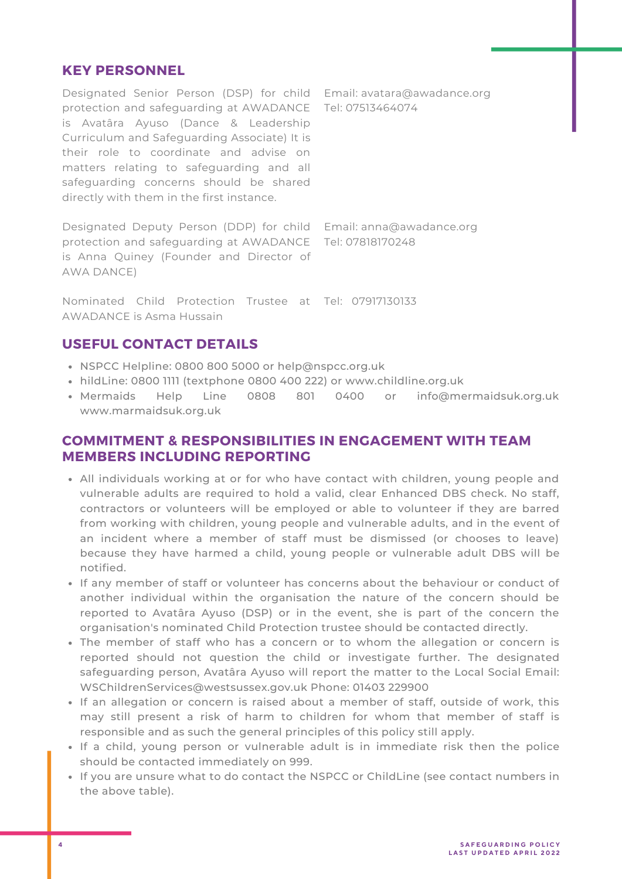#### **KEY PERSONNEL**

Designated Senior Person (DSP) for child Email: avatara@awadance.org protection and safeguarding at AWADANCE Tel: 07513464074 is Avatâra Ayuso (Dance & Leadership Curriculum and Safeguarding Associate) It is their role to coordinate and advise on matters relating to safeguarding and all safeguarding concerns should be shared directly with them in the first instance.

Designated Deputy Person (DDP) for child Email: anna@awadance.org protection and safeguarding at AWADANCE Tel: 07818170248 is Anna Quiney (Founder and Director of AWA DANCE)

Nominated Child Protection Trustee at Tel: 07917130133 AWADANCE is Asma Hussain

# **USEFUL CONTACT DETAILS**

- NSPCC Helpline: 0800 800 5000 or help@nspcc.org.uk
- hildLine: 0800 1111 (textphone 0800 400 222) or www.childline.org.uk
- Mermaids Help Line 0808 801 0400 or info@mermaidsuk.org.uk www.marmaidsuk.org.uk

# **COMMITMENT & RESPONSIBILITIES IN ENGAGEMENT WITH TEAM MEMBERS INCLUDING REPORTING**

- All individuals working at or for who have contact with children, young people and vulnerable adults are required to hold a valid, clear Enhanced DBS check. No staff, contractors or volunteers will be employed or able to volunteer if they are barred from working with children, young people and vulnerable adults, and in the event of an incident where a member of staff must be dismissed (or chooses to leave) because they have harmed a child, young people or vulnerable adult DBS will be notified.
- If any member of staff or volunteer has concerns about the behaviour or conduct of another individual within the organisation the nature of the concern should be reported to Avatâra Ayuso (DSP) or in the event, she is part of the concern the organisation's nominated Child Protection trustee should be contacted directly.
- The member of staff who has a concern or to whom the allegation or concern is reported should not question the child or investigate further. The designated safeguarding person, Avatâra Ayuso will report the matter to the Local Social Email: [WSChildrenServices@westsussex.gov.uk](mailto:WSChildrenServices@westsussex.gov.uk) Phone: 01403 229900
- If an allegation or concern is raised about a member of staff, outside of work, this may still present a risk of harm to children for whom that member of staff is responsible and as such the general principles of this policy still apply.
- If a child, young person or vulnerable adult is in immediate risk then the police should be contacted immediately on 999.
- If you are unsure what to do contact the NSPCC or ChildLine (see contact numbers in the above table).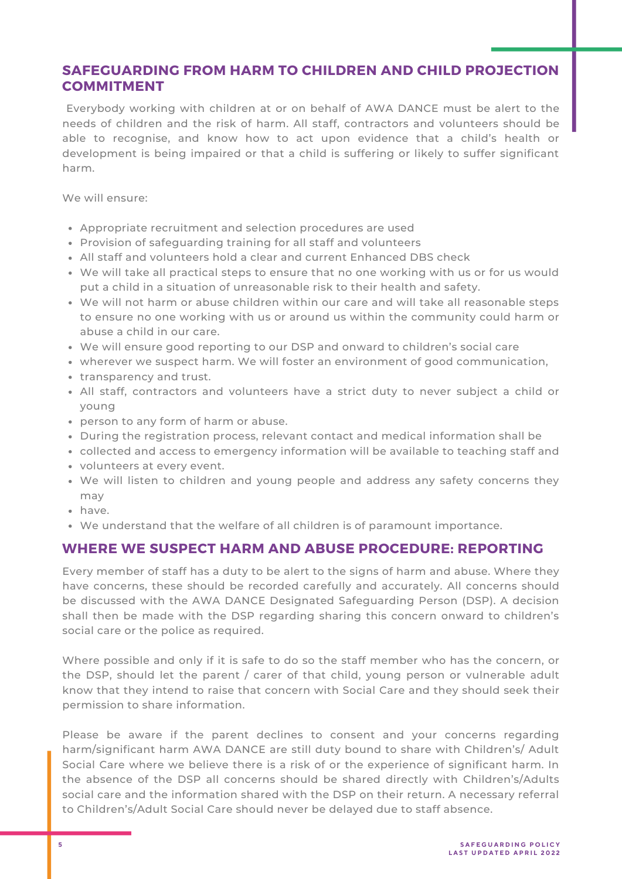# **SAFEGUARDING FROM HARM TO CHILDREN AND CHILD PROJECTION COMMITMENT**

Everybody working with children at or on behalf of AWA DANCE must be alert to the needs of children and the risk of harm. All staff, contractors and volunteers should be able to recognise, and know how to act upon evidence that a child's health or development is being impaired or that a child is suffering or likely to suffer significant harm.

We will ensure:

- Appropriate recruitment and selection procedures are used
- Provision of safeguarding training for all staff and volunteers
- All staff and volunteers hold a clear and current Enhanced DBS check
- We will take all practical steps to ensure that no one working with us or for us would put a child in a situation of unreasonable risk to their health and safety.
- We will not harm or abuse children within our care and will take all reasonable steps to ensure no one working with us or around us within the community could harm or abuse a child in our care.
- We will ensure good reporting to our DSP and onward to children's social care
- wherever we suspect harm. We will foster an environment of good communication,
- transparency and trust.
- All staff, contractors and volunteers have a strict duty to never subject a child or young
- person to any form of harm or abuse.
- During the registration process, relevant contact and medical information shall be
- collected and access to emergency information will be available to teaching staff and
- volunteers at every event.
- We will listen to children and young people and address any safety concerns they may
- have.
- We understand that the welfare of all children is of paramount importance.

# **WHERE WE SUSPECT HARM AND ABUSE PROCEDURE: REPORTING**

Every member of staff has a duty to be alert to the signs of harm and abuse. Where they have concerns, these should be recorded carefully and accurately. All concerns should be discussed with the AWA DANCE Designated Safeguarding Person (DSP). A decision shall then be made with the DSP regarding sharing this concern onward to children's social care or the police as required.

Where possible and only if it is safe to do so the staff member who has the concern, or the DSP, should let the parent / carer of that child, young person or vulnerable adult know that they intend to raise that concern with Social Care and they should seek their permission to share information.

Please be aware if the parent declines to consent and your concerns regarding harm/significant harm AWA DANCE are still duty bound to share with Children's/ Adult Social Care where we believe there is a risk of or the experience of significant harm. In the absence of the DSP all concerns should be shared directly with Children's/Adults social care and the information shared with the DSP on their return. A necessary referral to Children's/Adult Social Care should never be delayed due to staff absence.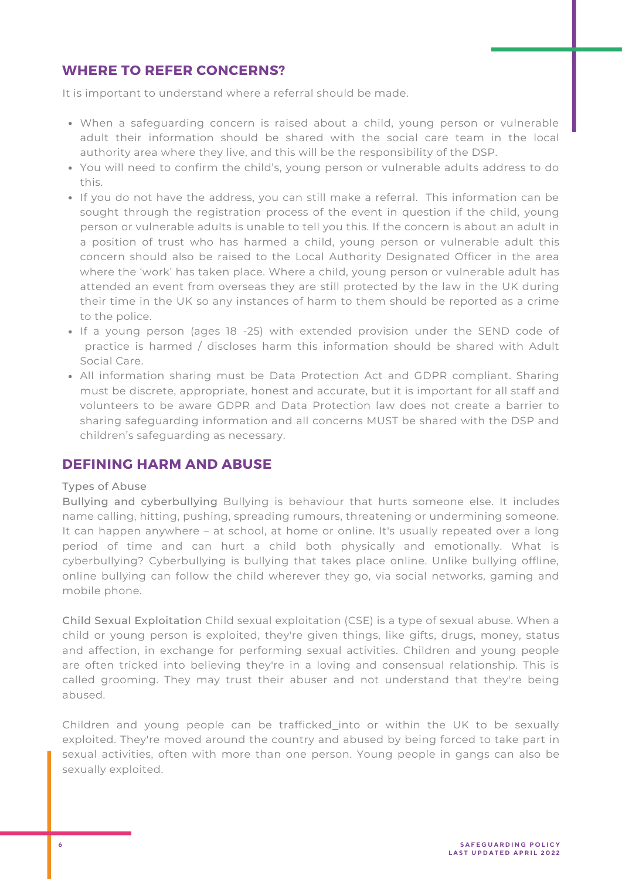# **WHERE TO REFER CONCERNS?**

It is important to understand where a referral should be made.

- When a safeguarding concern is raised about a child, young person or vulnerable adult their information should be shared with the social care team in the local authority area where they live, and this will be the responsibility of the DSP.
- You will need to confirm the child's, young person or vulnerable adults address to do this.
- If you do not have the address, you can still make a referral. This information can be sought through the registration process of the event in question if the child, young person or vulnerable adults is unable to tell you this. If the concern is about an adult in a position of trust who has harmed a child, young person or vulnerable adult this concern should also be raised to the Local Authority Designated Officer in the area where the 'work' has taken place. Where a child, young person or vulnerable adult has attended an event from overseas they are still protected by the law in the UK during their time in the UK so any instances of harm to them should be reported as a crime to the police.
- If a young person (ages 18 -25) with extended provision under the SEND code of practice is harmed / discloses harm this information should be shared with Adult Social Care.
- All information sharing must be Data Protection Act and GDPR compliant. Sharing must be discrete, appropriate, honest and accurate, but it is important for all staff and volunteers to be aware GDPR and Data Protection law does not create a barrier to sharing safeguarding information and all concerns MUST be shared with the DSP and children's safeguarding as necessary.

#### **DEFINING HARM AND ABUSE**

#### Types of Abuse

Bullying and cyberbullying Bullying is behaviour that hurts someone else. It includes name calling, hitting, pushing, spreading rumours, threatening or undermining someone. It can happen anywhere – at school, at home or online. It's usually repeated over a long period of time and can hurt a child both physically and emotionally. What is cyberbullying? Cyberbullying is bullying that takes place online. Unlike bullying offline, online bullying can follow the child wherever they go, via social networks, gaming and mobile phone.

Child Sexual Exploitation Child sexual exploitation (CSE) is a type of sexual abuse. When a child or young person is exploited, they're given things, like gifts, drugs, money, status and affection, in exchange for performing sexual activities. Children and young people are often tricked into believing they're in a loving and consensual relationship. This is called grooming. They may trust their abuser and not understand that they're being abused.

Children and young people can be trafficked into or within the UK to be sexually exploited. They're moved around the country and abused by being forced to take part in sexual activities, often with more than one person. Young people in gangs can also be sexually exploited.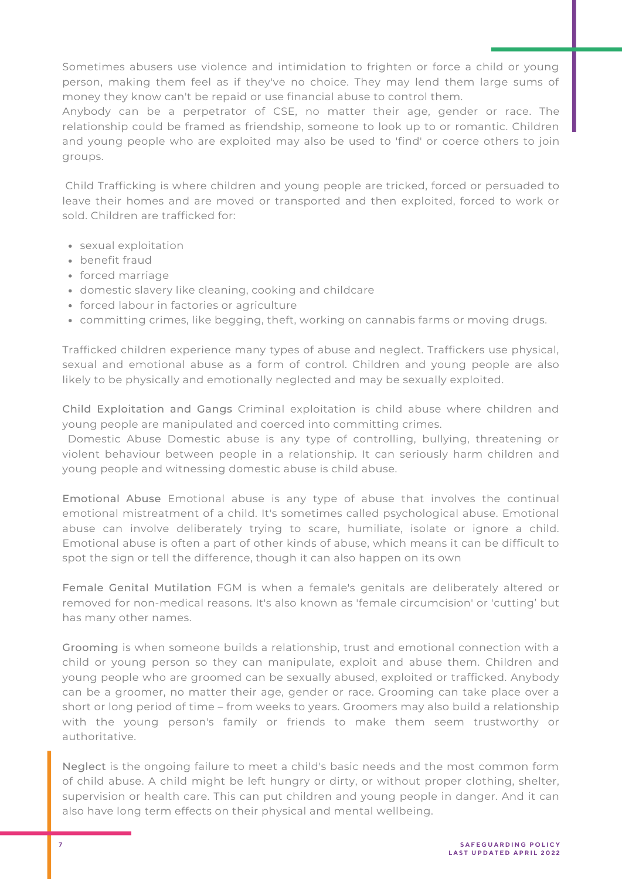Sometimes abusers use violence and intimidation to frighten or force a child or young person, making them feel as if they've no choice. They may lend them large sums of money they know can't be repaid or use financial abuse to control them.

money they know can't be repaid or use financial abuse to control them.<br>Anybody can be a perpetrator of CSE, no matter their age, gender or race. The relationship could be framed as friendship, someone to look up to or romantic. Children and young people who are exploited may also be used to 'find' or coerce others to join groups.

Child Trafficking is where children and young people are tricked, forced or persuaded to leave their homes and are moved or transported and then exploited, forced to work or sold. Children are trafficked for:

- sexual exploitation
- benefit fraud
- forced marriage
- domestic slavery like cleaning, cooking and childcare
- forced labour in factories or agriculture
- committing crimes, like begging, theft, working on cannabis farms or moving drugs.

Trafficked children experience many types of abuse and neglect. Traffickers use physical, sexual and emotional abuse as a form of control. Children and young people are also likely to be physically and emotionally neglected and may be sexually exploited.

Child Exploitation and Gangs Criminal exploitation is child abuse where children and young people are manipulated and coerced into committing crimes.

Domestic Abuse Domestic abuse is any type of controlling, bullying, threatening or violent behaviour between people in a relationship. It can seriously harm children and young people and witnessing domestic abuse is child abuse.

Emotional Abuse Emotional abuse is any type of abuse that involves the continual emotional mistreatment of a child. It's sometimes called psychological abuse. Emotional abuse can involve deliberately trying to scare, humiliate, isolate or ignore a child. Emotional abuse is often a part of other kinds of abuse, which means it can be difficult to spot the sign or tell the difference, though it can also happen on its own

Female Genital Mutilation FGM is when a female's genitals are deliberately altered or removed for non-medical reasons. It's also known as 'female circumcision' or 'cutting' but has many other names.

Grooming is when someone builds a relationship, trust and emotional connection with a child or young person so they can manipulate, exploit and abuse them. Children and young people who are groomed can be sexually abused, exploited or trafficked. Anybody can be a groomer, no matter their age, gender or race. Grooming can take place over a short or long period of time – from weeks to years. Groomers may also build a relationship with the young person's family or friends to make them seem trustworthy or authoritative.

Neglect is the ongoing failure to meet a child's basic needs and the most common form of child abuse. A child might be left hungry or dirty, or without proper clothing, shelter, supervision or health care. This can put children and young people in danger. And it can also have long term effects on their physical and mental wellbeing.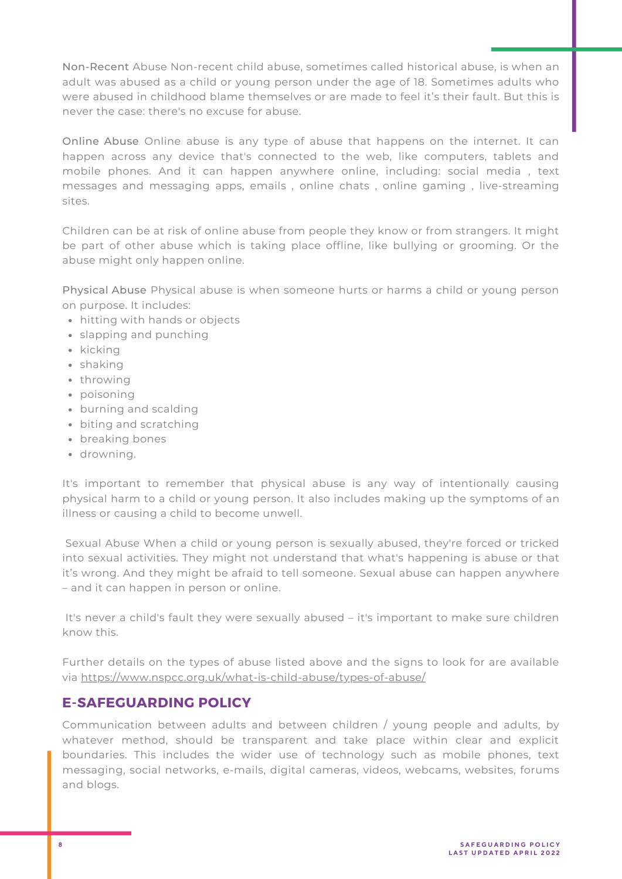Non-Recent Abuse Non-recent child abuse, sometimes called historical abuse, is when an adult was abused as a child or young person under the age of 18. Sometimes adults who were abused in childhood blame themselves or are made to feel it's their fault. But this is never the case: there's no excuse for abuse.

Online Abuse Online abuse is any type of abuse that happens on the internet. It can happen across any device that's connected to the web, like computers, tablets and mobile phones. And it can happen anywhere online, including: social media , text messages and messaging apps, emails , online chats , online gaming , live-streaming sites.

Children can be at risk of online abuse from people they know or from strangers. It might be part of other abuse which is taking place offline, like bullying or grooming. Or the abuse might only happen online.

Physical Abuse Physical abuse is when someone hurts or harms a child or young person on purpose. It includes:

- hitting with hands or objects
- slapping and punching
- kicking
- shaking
- throwing
- poisoning
- burning and scalding
- biting and scratching
- breaking bones
- drowning.

It's important to remember that physical abuse is any way of intentionally causing physical harm to a child or young person. It also includes making up the symptoms of an illness or causing a child to become unwell.

Sexual Abuse When a child or young person is sexually abused, they're forced or tricked into sexual activities. They might not understand that what's happening is abuse or that it's wrong. And they might be afraid to tell someone. Sexual abuse can happen anywhere – and it can happen in person or online.

It's never a child's fault they were sexually abused – it's important to make sure children know this.

Further details on the types of abuse listed above and the signs to look for are available via https://www.nspcc.org.uk/what-is-child-abuse/types-of-abuse/

# **E-SAFEGUARDING POLICY**

Communication between adults and between children / young people and adults, by whatever method, should be transparent and take place within clear and explicit boundaries. This includes the wider use of technology such as mobile phones, text messaging, social networks, e-mails, digital cameras, videos, webcams, websites, forums and blogs.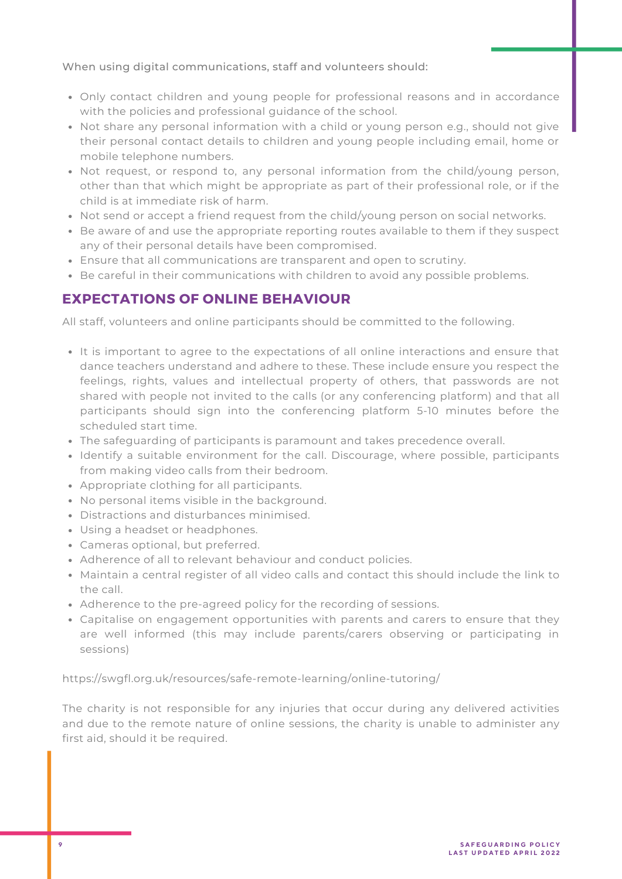When using digital communications, staff and volunteers should:

- Only contact children and young people for professional reasons and in accordance with the policies and professional guidance of the school.
- Not share any personal information with a child or young person e.g., should not give their personal contact details to children and young people including email, home or mobile telephone numbers.
- Not request, or respond to, any personal information from the child/young person, other than that which might be appropriate as part of their professional role, or if the child is at immediate risk of harm.
- Not send or accept a friend request from the child/young person on social networks.
- Be aware of and use the appropriate reporting routes available to them if they suspect any of their personal details have been compromised.
- Ensure that all communications are transparent and open to scrutiny.
- **Be careful in their communications with children to avoid any possible problems.**

# **EXPECTATIONS OF ONLINE BEHAVIOUR**

All staff, volunteers and online participants should be committed to the following.

- It is important to agree to the expectations of all online interactions and ensure that dance teachers understand and adhere to these. These include ensure you respect the feelings, rights, values and intellectual property of others, that passwords are not shared with people not invited to the calls (or any conferencing platform) and that all participants should sign into the conferencing platform 5-10 minutes before the scheduled start time.
- The safeguarding of participants is paramount and takes precedence overall.
- Identify a suitable environment for the call. Discourage, where possible, participants from making video calls from their bedroom.
- Appropriate clothing for all participants.
- No personal items visible in the background.
- Distractions and disturbances minimised.
- Using a headset or headphones.
- Cameras optional, but preferred.
- Adherence of all to relevant behaviour and conduct policies.
- Maintain a central register of all video calls and contact this should include the link to the call.
- Adherence to the pre-agreed policy for the recording of sessions.
- Capitalise on engagement opportunities with parents and carers to ensure that they are well informed (this may include parents/carers observing or participating in sessions)

https://swgfl.org.uk/resources/safe-remote-learning/online-tutoring/

The charity is not responsible for any injuries that occur during any delivered activities and due to the remote nature of online sessions, the charity is unable to administer any first aid, should it be required.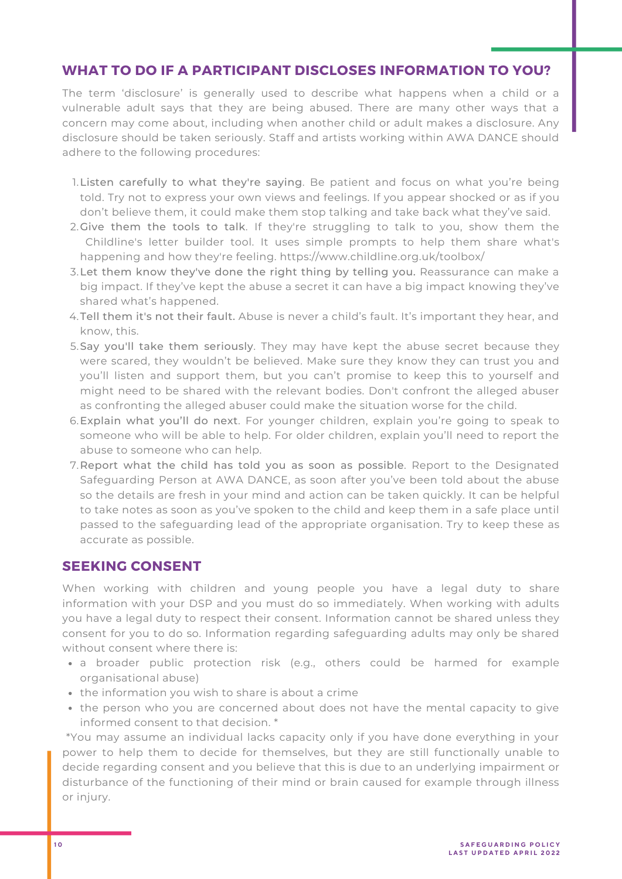# **WHAT TO DO IF A PARTICIPANT DISCLOSES INFORMATION TO YOU?**

The term 'disclosure' is generally used to describe what happens when a child or a vulnerable adult says that they are being abused. There are many other ways that a concern may come about, including when another child or adult makes a disclosure. Any disclosure should be taken seriously. Staff and artists working within AWA DANCE should adhere to the following procedures:

- Listen carefully to what they're saying. Be patient and focus on what you're being 1. told. Try not to express your own views and feelings. If you appear shocked or as if you don't believe them, it could make them stop talking and take back what they've said.
- 2.Give them the tools to talk. If they're struggling to talk to you, show them the Childline's letter builder tool. It uses simple prompts to help them share what's happening and how they're feeling. <https://www.childline.org.uk/toolbox/>
- Let them know they've done the right thing by telling you. Reassurance can make a 3. big impact. If they've kept the abuse a secret it can have a big impact knowing they've shared what's happened.
- 4.Tell them it's not their fault. Abuse is never a child's fault. It's important they hear, and know, this.
- 5.Say you'll take them seriously. They may have kept the abuse secret because they were scared, they wouldn't be believed. Make sure they know they can trust you and you'll listen and support them, but you can't promise to keep this to yourself and might need to be shared with the relevant bodies. Don't confront the alleged abuser as confronting the alleged abuser could make the situation worse for the child.
- Explain what you'll do next. For younger children, explain you're going to speak to 6. someone who will be able to help. For older children, explain you'll need to report the abuse to someone who can help.
- Report what the child has told you as soon as possible. Report to the Designated 7.Safeguarding Person at AWA DANCE, as soon after you've been told about the abuse so the details are fresh in your mind and action can be taken quickly. It can be helpful to take notes as soon as you've spoken to the child and keep them in a safe place until passed to the safeguarding lead of the appropriate organisation. Try to keep these as accurate as possible.

#### **SEEKING CONSENT**

When working with children and young people you have a legal duty to share information with your DSP and you must do so immediately. When working with adults you have a legal duty to respect their consent. Information cannot be shared unless they consent for you to do so. Information regarding safeguarding adults may only be shared without consent where there is:

- a broader public protection risk (e.g., others could be harmed for example organisational abuse)
- the information you wish to share is about a crime
- the person who you are concerned about does not have the mental capacity to give informed consent to that decision. \*

\*You may assume an individual lacks capacity only if you have done everything in your power to help them to decide for themselves, but they are still functionally unable to decide regarding consent and you believe that this is due to an underlying impairment or disturbance of the functioning of their mind or brain caused for example through illness or injury.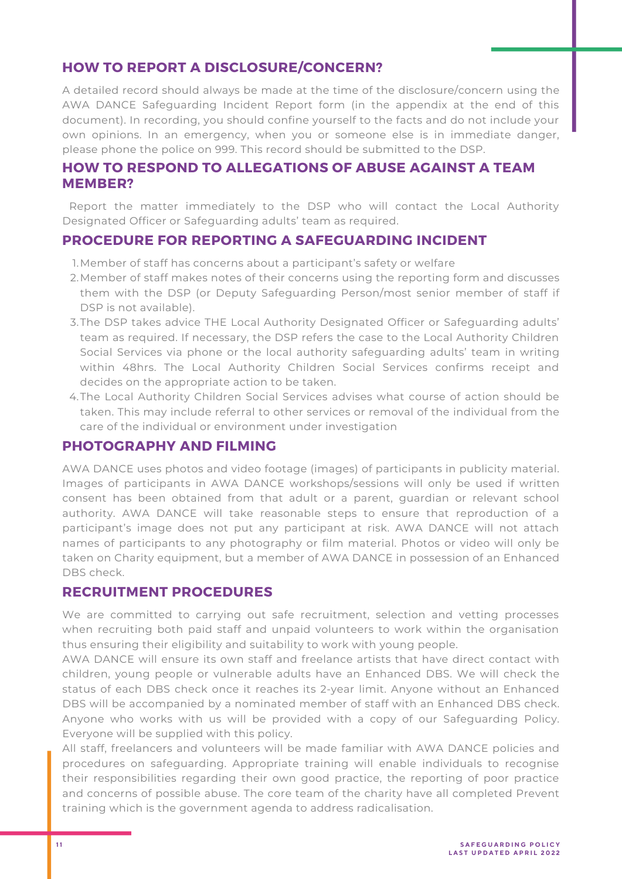# **HOW TO REPORT A DISCLOSURE/CONCERN?**

A detailed record should always be made at the time of the disclosure/concern using the AWA DANCE Safeguarding Incident Report form (in the appendix at the end of this document). In recording, you should confine yourself to the facts and do not include your own opinions. In an emergency, when you or someone else is in immediate danger, please phone the police on 999. This record should be submitted to the DSP.

# **HOW TO RESPOND TO ALLEGATIONS OF ABUSE AGAINST A TEAM MEMBER?**

Report the matter immediately to the DSP who will contact the Local Authority Designated Officer or Safeguarding adults' team as required.

# **PROCEDURE FOR REPORTING A SAFEGUARDING INCIDENT**

- Member of staff has concerns about a participant's safety or welfare 1.
- 2.Member of staff makes notes of their concerns using the reporting form and discusses them with the DSP (or Deputy Safeguarding Person/most senior member of staff if DSP is not available).
- 3.The DSP takes advice THE Local Authority Designated Officer or Safeguarding adults' team as required. If necessary, the DSP refers the case to the Local Authority Children Social Services via phone or the local authority safeguarding adults' team in writing within 48hrs. The Local Authority Children Social Services confirms receipt and decides on the appropriate action to be taken.
- 4. The Local Authority Children Social Services advises what course of action should be taken. This may include referral to other services or removal of the individual from the care of the individual or environment under investigation

#### **PHOTOGRAPHY AND FILMING**

AWA DANCE uses photos and video footage (images) of participants in publicity material. Images of participants in AWA DANCE workshops/sessions will only be used if written consent has been obtained from that adult or a parent, guardian or relevant school authority. AWA DANCE will take reasonable steps to ensure that reproduction of a participant's image does not put any participant at risk. AWA DANCE will not attach names of participants to any photography or film material. Photos or video will only be taken on Charity equipment, but a member of AWA DANCE in possession of an Enhanced DBS check.

# **RECRUITMENT PROCEDURES**

We are committed to carrying out safe recruitment, selection and vetting processes when recruiting both paid staff and unpaid volunteers to work within the organisation thus ensuring their eligibility and suitability to work with young people.

AWA DANCE will ensure its own staff and freelance artists that have direct contact with children, young people or vulnerable adults have an Enhanced DBS. We will check the status of each DBS check once it reaches its 2-year limit. Anyone without an Enhanced DBS will be accompanied by a nominated member of staff with an Enhanced DBS check. Anyone who works with us will be provided with a copy of our Safeguarding Policy. Everyone will be supplied with this policy.

All staff, freelancers and volunteers will be made familiar with AWA DANCE policies and procedures on safeguarding. Appropriate training will enable individuals to recognise their responsibilities regarding their own good practice, the reporting of poor practice and concerns of possible abuse. The core team of the charity have all completed Prevent training which is the government agenda to address radicalisation.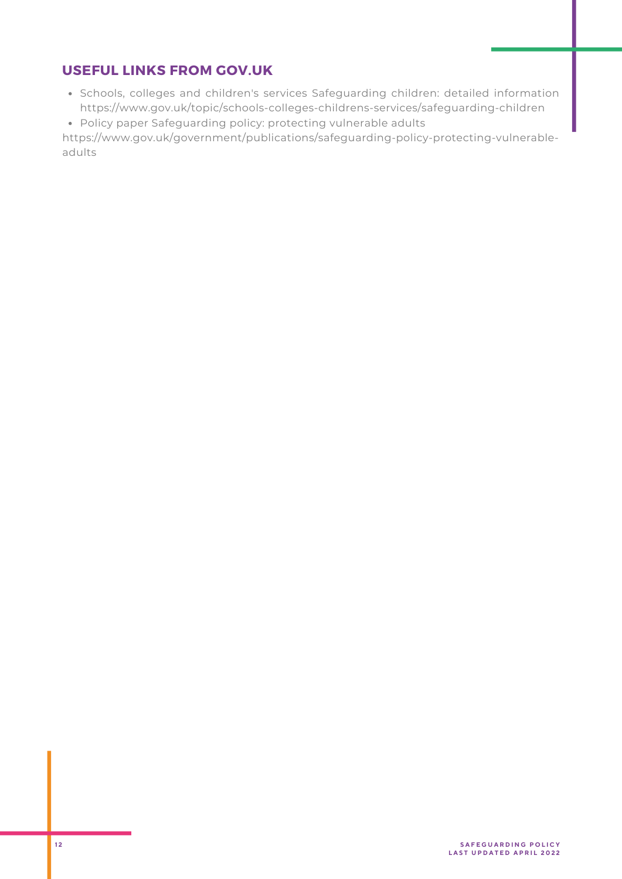# **USEFUL LINKS FROM GOV.UK**

- Schools, colleges and children's services Safeguarding children: detailed information https://www.gov.uk/topic/schools-colleges-childrens-services/safeguarding-children
- Policy paper Safeguarding policy: protecting vulnerable adults

https://www.gov.uk/government/publications/safeguarding-policy-protecting-vulnerableadults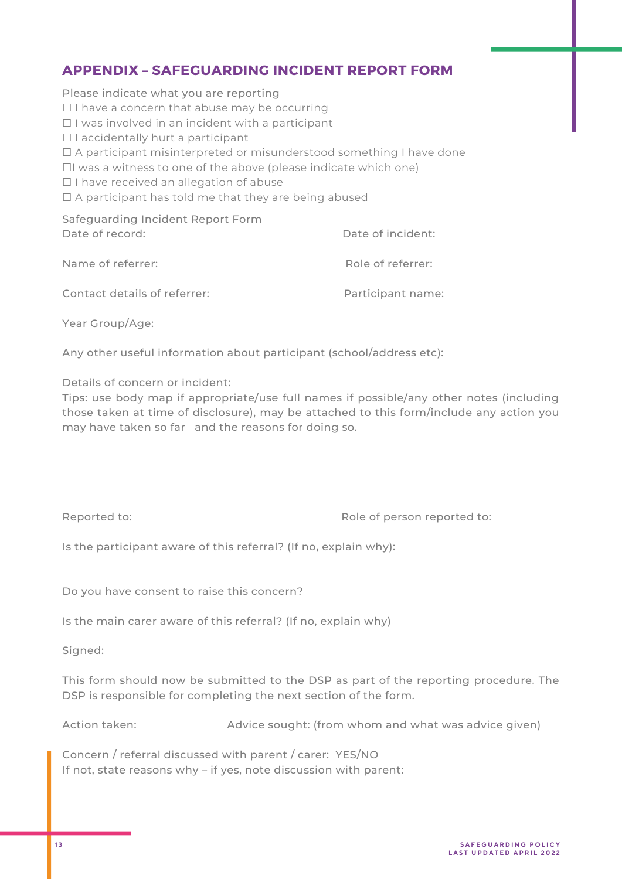# **APPENDIX – SAFEGUARDING INCIDENT REPORT FORM**

Please indicate what you are reporting

- ☐ I have a concern that abuse may be occurring
- ☐ I was involved in an incident with a participant
- $\Box$  I accidentally hurt a participant
- □ A participant misinterpreted or misunderstood something I have done
- ☐I was a witness to one of the above (please indicate which one)
- ☐ I have received an allegation of abuse
- $\Box$  A participant has told me that they are being abused

Safeguarding Incident Report Form Date of record:  $\Box$  Date of incident:

| Name of referrer:            | Role of referrer: |
|------------------------------|-------------------|
| Contact details of referrer: | Participant name: |

Year Group/Age:

Any other useful information about participant (school/address etc):

Details of concern or incident:

Tips: use body map if appropriate/use full names if possible/any other notes (including those taken at time of disclosure), may be attached to this form/include any action you may have taken so far and the reasons for doing so.

Reported to:  $\qquad \qquad$  Role of person reported to:

Is the participant aware of this referral? (If no, explain why):

Do you have consent to raise this concern?

Is the main carer aware of this referral? (If no, explain why)

Signed:

This form should now be submitted to the DSP as part of the reporting procedure. The DSP is responsible for completing the next section of the form.

Action taken: Advice sought: (from whom and what was advice given)

Concern / referral discussed with parent / carer: YES/NO If not, state reasons why – if yes, note discussion with parent: